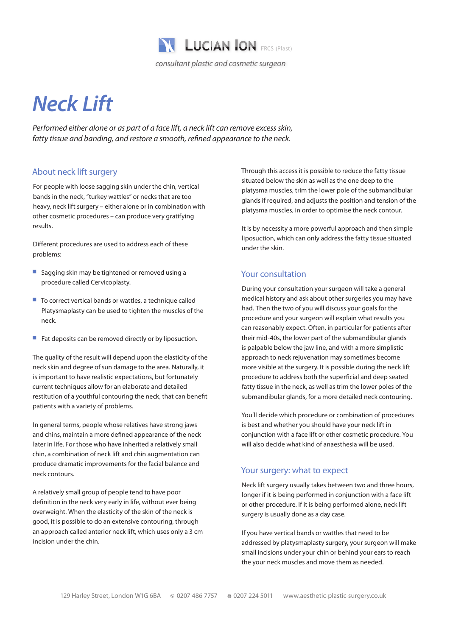

# *Neck Lift*

*Performed either alone or as part of a face lift, a neck lift can remove excess skin, fatty tissue and banding, and restore a smooth, refined appearance to the neck.*

## About neck lift surgery

For people with loose sagging skin under the chin, vertical bands in the neck, "turkey wattles" or necks that are too heavy, neck lift surgery – either alone or in combination with other cosmetic procedures – can produce very gratifying results.

Different procedures are used to address each of these problems:

- Sagging skin may be tightened or removed using a procedure called Cervicoplasty.
- $\blacksquare$  To correct vertical bands or wattles, a technique called Platysmaplasty can be used to tighten the muscles of the neck.
- $\blacksquare$  Fat deposits can be removed directly or by liposuction.

The quality of the result will depend upon the elasticity of the neck skin and degree of sun damage to the area. Naturally, it is important to have realistic expectations, but fortunately current techniques allow for an elaborate and detailed restitution of a youthful contouring the neck, that can benefit patients with a variety of problems.

In general terms, people whose relatives have strong jaws and chins, maintain a more defined appearance of the neck later in life. For those who have inherited a relatively small chin, a combination of neck lift and chin augmentation can produce dramatic improvements for the facial balance and neck contours.

A relatively small group of people tend to have poor definition in the neck very early in life, without ever being overweight. When the elasticity of the skin of the neck is good, it is possible to do an extensive contouring, through an approach called anterior neck lift, which uses only a 3 cm incision under the chin.

Through this access it is possible to reduce the fatty tissue situated below the skin as well as the one deep to the platysma muscles, trim the lower pole of the submandibular glands if required, and adjusts the position and tension of the platysma muscles, in order to optimise the neck contour.

It is by necessity a more powerful approach and then simple liposuction, which can only address the fatty tissue situated under the skin.

#### Your consultation

During your consultation your surgeon will take a general medical history and ask about other surgeries you may have had. Then the two of you will discuss your goals for the procedure and your surgeon will explain what results you can reasonably expect. Often, in particular for patients after their mid-40s, the lower part of the submandibular glands is palpable below the jaw line, and with a more simplistic approach to neck rejuvenation may sometimes become more visible at the surgery. It is possible during the neck lift procedure to address both the superficial and deep seated fatty tissue in the neck, as well as trim the lower poles of the submandibular glands, for a more detailed neck contouring.

You'll decide which procedure or combination of procedures is best and whether you should have your neck lift in conjunction with a face lift or other cosmetic procedure. You will also decide what kind of anaesthesia will be used.

#### Your surgery: what to expect

Neck lift surgery usually takes between two and three hours, longer if it is being performed in conjunction with a face lift or other procedure. If it is being performed alone, neck lift surgery is usually done as a day case.

If you have vertical bands or wattles that need to be addressed by platysmaplasty surgery, your surgeon will make small incisions under your chin or behind your ears to reach the your neck muscles and move them as needed.